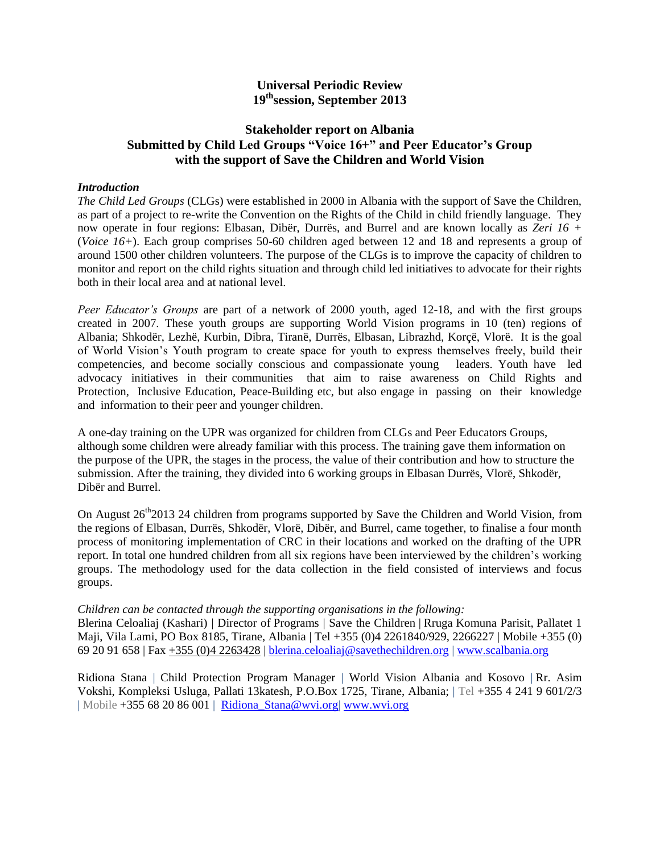### **Universal Periodic Review 19thsession, September 2013**

### **Stakeholder report on Albania Submitted by Child Led Groups "Voice 16+" and Peer Educator's Group with the support of Save the Children and World Vision**

#### *Introduction*

*The Child Led Groups* (CLGs) were established in 2000 in Albania with the support of Save the Children, as part of a project to re-write the Convention on the Rights of the Child in child friendly language. They now operate in four regions: Elbasan, Dibër, Durrës, and Burrel and are known locally as *Zeri 16 +* (*Voice 16+*). Each group comprises 50-60 children aged between 12 and 18 and represents a group of around 1500 other children volunteers. The purpose of the CLGs is to improve the capacity of children to monitor and report on the child rights situation and through child led initiatives to advocate for their rights both in their local area and at national level.

*Peer Educator's Groups* are part of a network of 2000 youth, aged 12-18, and with the first groups created in 2007. These youth groups are supporting World Vision programs in 10 (ten) regions of Albania; Shkodër, Lezhë, Kurbin, Dibra, Tiranë, Durrës, Elbasan, Librazhd, Korçë, Vlorë. It is the goal of World Vision's Youth program to create space for youth to express themselves freely, build their competencies, and become socially conscious and compassionate young leaders. Youth have led advocacy initiatives in their communities that aim to raise awareness on Child Rights and Protection, Inclusive Education, Peace-Building etc, but also engage in passing on their knowledge and information to their peer and younger children.

A one-day training on the UPR was organized for children from CLGs and Peer Educators Groups, although some children were already familiar with this process. The training gave them information on the purpose of the UPR, the stages in the process, the value of their contribution and how to structure the submission. After the training, they divided into 6 working groups in Elbasan Durrës, Vlorë, Shkodër, Dibër and Burrel.

On August  $26<sup>th</sup>2013$  24 children from programs supported by Save the Children and World Vision, from the regions of Elbasan, Durrës, Shkodër, Vlorë, Dibër, and Burrel, came together, to finalise a four month process of monitoring implementation of CRC in their locations and worked on the drafting of the UPR report. In total one hundred children from all six regions have been interviewed by the children's working groups. The methodology used for the data collection in the field consisted of interviews and focus groups.

#### *Children can be contacted through the supporting organisations in the following:*

Blerina Celoaliaj (Kashari) | Director of Programs | Save the Children | Rruga Komuna Parisit, Pallatet 1 Maji, Vila Lami, PO Box 8185, Tirane, Albania | Tel +355 (0)4 2261840/929, 2266227 | Mobile +355 (0) 69 20 91 658 | Fax [+355 \(0\)4 2263428](tel:%2B355%20%280%294%202263428) | [blerina.celoaliaj@savethechildren.org](mailto:helen.ianson@savethechildren.org) | [www.scalbania.org](http://www.scalbania.org/)

Ridiona Stana | Child Protection Program Manager | World Vision Albania and Kosovo | Rr. Asim Vokshi, Kompleksi Usluga, Pallati 13katesh, P.O.Box 1725, Tirane, Albania; | Tel +355 4 241 9 601/2/3 | Mobile +355 68 20 86 001 | [Ridiona\\_Stana@wvi.org|](mailto:Ridiona_Stana@wvi.org) [www.wvi.org](http://www.wvi.org/)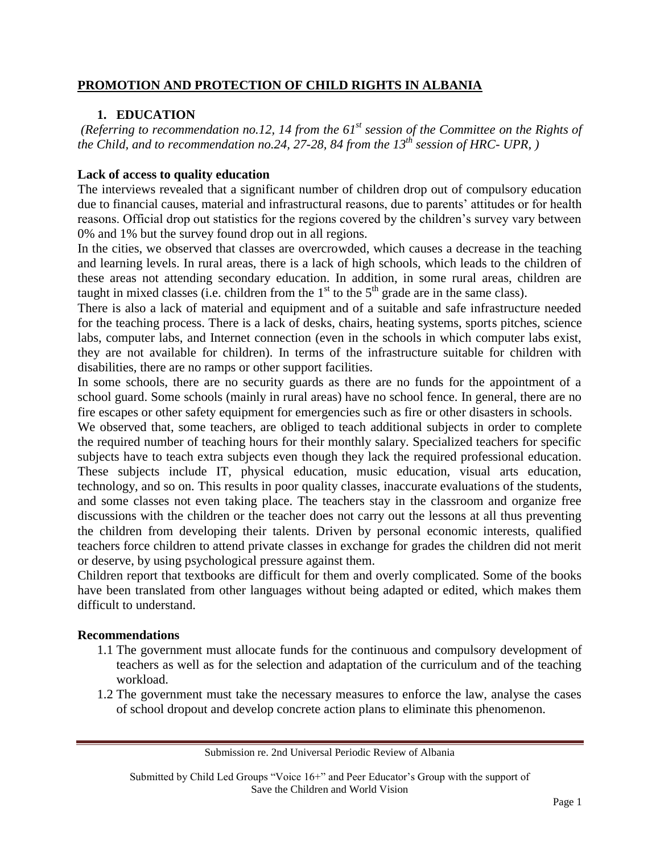# **PROMOTION AND PROTECTION OF CHILD RIGHTS IN ALBANIA**

# **1. EDUCATION**

*(Referring to recommendation no.12, 14 from the 61st session of the Committee on the Rights of the Child, and to recommendation no.24, 27-28, 84 from the 13th session of HRC- UPR, )*

### **Lack of access to quality education**

The interviews revealed that a significant number of children drop out of compulsory education due to financial causes, material and infrastructural reasons, due to parents' attitudes or for health reasons. Official drop out statistics for the regions covered by the children's survey vary between 0% and 1% but the survey found drop out in all regions.

In the cities, we observed that classes are overcrowded, which causes a decrease in the teaching and learning levels. In rural areas, there is a lack of high schools, which leads to the children of these areas not attending secondary education. In addition, in some rural areas, children are taught in mixed classes (i.e. children from the  $1<sup>st</sup>$  to the  $5<sup>th</sup>$  grade are in the same class).

There is also a lack of material and equipment and of a suitable and safe infrastructure needed for the teaching process. There is a lack of desks, chairs, heating systems, sports pitches, science labs, computer labs, and Internet connection (even in the schools in which computer labs exist, they are not available for children). In terms of the infrastructure suitable for children with disabilities, there are no ramps or other support facilities.

In some schools, there are no security guards as there are no funds for the appointment of a school guard. Some schools (mainly in rural areas) have no school fence. In general, there are no fire escapes or other safety equipment for emergencies such as fire or other disasters in schools.

We observed that, some teachers, are obliged to teach additional subjects in order to complete the required number of teaching hours for their monthly salary. Specialized teachers for specific subjects have to teach extra subjects even though they lack the required professional education. These subjects include IT, physical education, music education, visual arts education, technology, and so on. This results in poor quality classes, inaccurate evaluations of the students, and some classes not even taking place. The teachers stay in the classroom and organize free discussions with the children or the teacher does not carry out the lessons at all thus preventing the children from developing their talents. Driven by personal economic interests, qualified teachers force children to attend private classes in exchange for grades the children did not merit or deserve, by using psychological pressure against them.

Children report that textbooks are difficult for them and overly complicated. Some of the books have been translated from other languages without being adapted or edited, which makes them difficult to understand.

### **Recommendations**

- 1.1 The government must allocate funds for the continuous and compulsory development of teachers as well as for the selection and adaptation of the curriculum and of the teaching workload.
- 1.2 The government must take the necessary measures to enforce the law, analyse the cases of school dropout and develop concrete action plans to eliminate this phenomenon.

Submitted by Child Led Groups "Voice 16+" and Peer Educator's Group with the support of Save the Children and World Vision

Submission re. 2nd Universal Periodic Review of Albania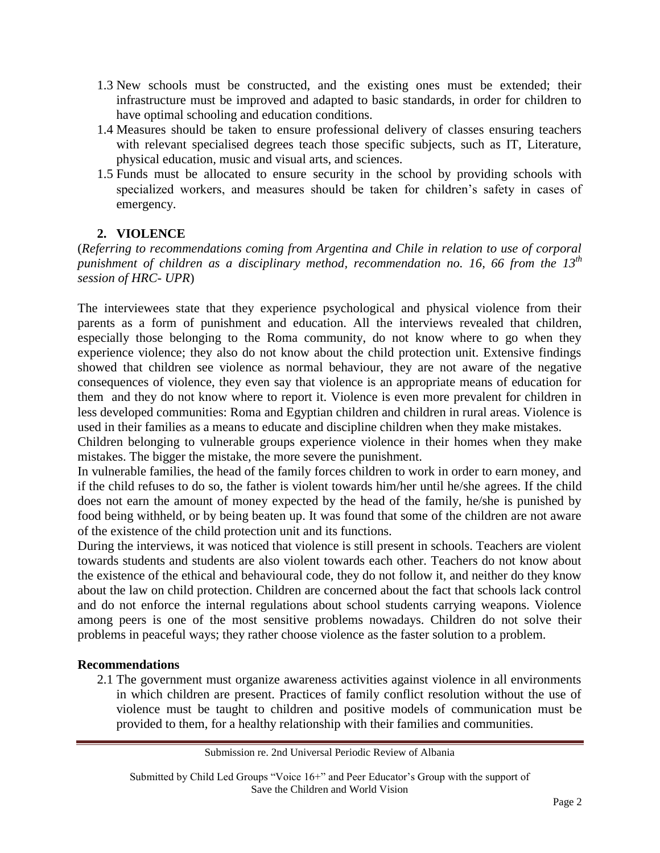- 1.3 New schools must be constructed, and the existing ones must be extended; their infrastructure must be improved and adapted to basic standards, in order for children to have optimal schooling and education conditions.
- 1.4 Measures should be taken to ensure professional delivery of classes ensuring teachers with relevant specialised degrees teach those specific subjects, such as IT, Literature, physical education, music and visual arts, and sciences.
- 1.5 Funds must be allocated to ensure security in the school by providing schools with specialized workers, and measures should be taken for children's safety in cases of emergency.

# **2. VIOLENCE**

(*Referring to recommendations coming from Argentina and Chile in relation to use of corporal punishment of children as a disciplinary method, recommendation no. 16, 66 from the 13th session of HRC- UPR*)

The interviewees state that they experience psychological and physical violence from their parents as a form of punishment and education. All the interviews revealed that children, especially those belonging to the Roma community, do not know where to go when they experience violence; they also do not know about the child protection unit. Extensive findings showed that children see violence as normal behaviour, they are not aware of the negative consequences of violence, they even say that violence is an appropriate means of education for them and they do not know where to report it. Violence is even more prevalent for children in less developed communities: Roma and Egyptian children and children in rural areas. Violence is used in their families as a means to educate and discipline children when they make mistakes.

Children belonging to vulnerable groups experience violence in their homes when they make mistakes. The bigger the mistake, the more severe the punishment.

In vulnerable families, the head of the family forces children to work in order to earn money, and if the child refuses to do so, the father is violent towards him/her until he/she agrees. If the child does not earn the amount of money expected by the head of the family, he/she is punished by food being withheld, or by being beaten up. It was found that some of the children are not aware of the existence of the child protection unit and its functions.

During the interviews, it was noticed that violence is still present in schools. Teachers are violent towards students and students are also violent towards each other. Teachers do not know about the existence of the ethical and behavioural code, they do not follow it, and neither do they know about the law on child protection. Children are concerned about the fact that schools lack control and do not enforce the internal regulations about school students carrying weapons. Violence among peers is one of the most sensitive problems nowadays. Children do not solve their problems in peaceful ways; they rather choose violence as the faster solution to a problem.

# **Recommendations**

2.1 The government must organize awareness activities against violence in all environments in which children are present. Practices of family conflict resolution without the use of violence must be taught to children and positive models of communication must be provided to them, for a healthy relationship with their families and communities.

Submission re. 2nd Universal Periodic Review of Albania

Submitted by Child Led Groups "Voice 16+" and Peer Educator's Group with the support of Save the Children and World Vision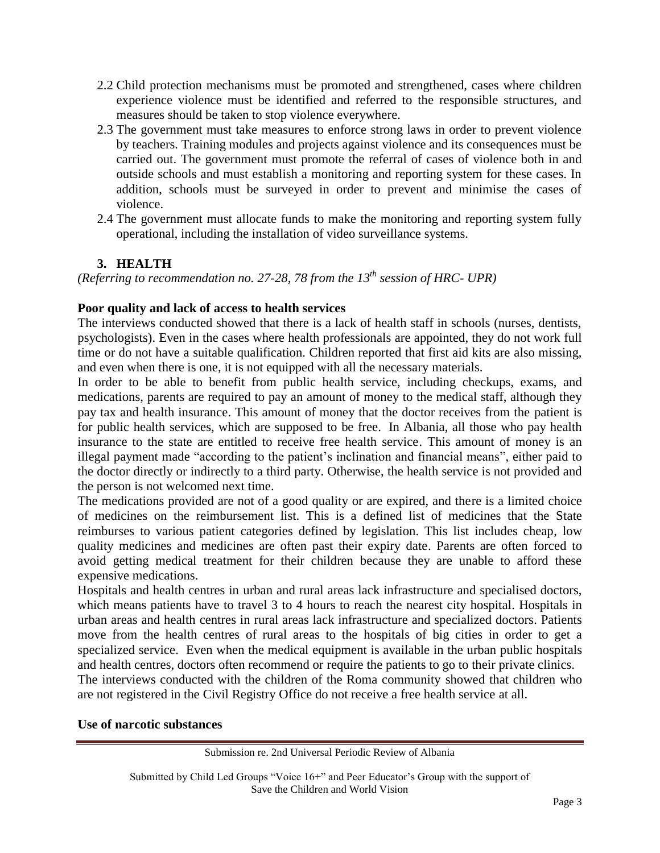- 2.2 Child protection mechanisms must be promoted and strengthened, cases where children experience violence must be identified and referred to the responsible structures, and measures should be taken to stop violence everywhere.
- 2.3 The government must take measures to enforce strong laws in order to prevent violence by teachers. Training modules and projects against violence and its consequences must be carried out. The government must promote the referral of cases of violence both in and outside schools and must establish a monitoring and reporting system for these cases. In addition, schools must be surveyed in order to prevent and minimise the cases of violence.
- 2.4 The government must allocate funds to make the monitoring and reporting system fully operational, including the installation of video surveillance systems.

# **3. HEALTH**

*(Referring to recommendation no. 27-28, 78 from the 13th session of HRC- UPR)*

# **Poor quality and lack of access to health services**

The interviews conducted showed that there is a lack of health staff in schools (nurses, dentists, psychologists). Even in the cases where health professionals are appointed, they do not work full time or do not have a suitable qualification. Children reported that first aid kits are also missing, and even when there is one, it is not equipped with all the necessary materials.

In order to be able to benefit from public health service, including checkups, exams, and medications, parents are required to pay an amount of money to the medical staff, although they pay tax and health insurance. This amount of money that the doctor receives from the patient is for public health services, which are supposed to be free. In Albania, all those who pay health insurance to the state are entitled to receive free health service. This amount of money is an illegal payment made "according to the patient's inclination and financial means", either paid to the doctor directly or indirectly to a third party. Otherwise, the health service is not provided and the person is not welcomed next time.

The medications provided are not of a good quality or are expired, and there is a limited choice of medicines on the reimbursement list. This is a defined list of medicines that the State reimburses to various patient categories defined by legislation. This list includes cheap, low quality medicines and medicines are often past their expiry date. Parents are often forced to avoid getting medical treatment for their children because they are unable to afford these expensive medications.

Hospitals and health centres in urban and rural areas lack infrastructure and specialised doctors, which means patients have to travel 3 to 4 hours to reach the nearest city hospital. Hospitals in urban areas and health centres in rural areas lack infrastructure and specialized doctors. Patients move from the health centres of rural areas to the hospitals of big cities in order to get a specialized service. Even when the medical equipment is available in the urban public hospitals and health centres, doctors often recommend or require the patients to go to their private clinics.

The interviews conducted with the children of the Roma community showed that children who are not registered in the Civil Registry Office do not receive a free health service at all.

# **Use of narcotic substances**

Submission re. 2nd Universal Periodic Review of Albania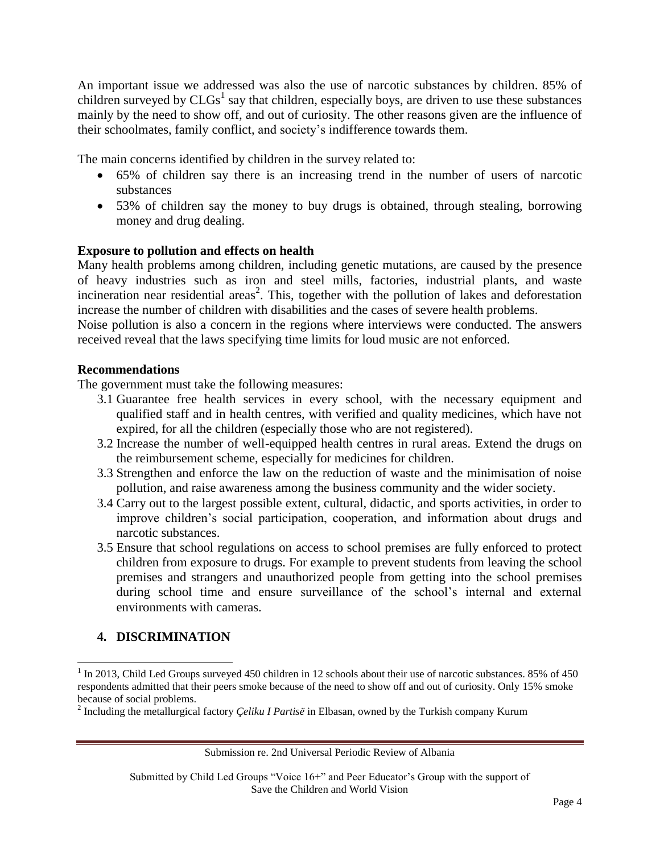An important issue we addressed was also the use of narcotic substances by children. 85% of children surveyed by  $CLGs<sup>1</sup>$  say that children, especially boys, are driven to use these substances mainly by the need to show off, and out of curiosity. The other reasons given are the influence of their schoolmates, family conflict, and society's indifference towards them.

The main concerns identified by children in the survey related to:

- 65% of children say there is an increasing trend in the number of users of narcotic substances
- 53% of children say the money to buy drugs is obtained, through stealing, borrowing money and drug dealing.

# **Exposure to pollution and effects on health**

Many health problems among children, including genetic mutations, are caused by the presence of heavy industries such as iron and steel mills, factories, industrial plants, and waste incineration near residential areas<sup>2</sup>. This, together with the pollution of lakes and deforestation increase the number of children with disabilities and the cases of severe health problems.

Noise pollution is also a concern in the regions where interviews were conducted. The answers received reveal that the laws specifying time limits for loud music are not enforced.

# **Recommendations**

The government must take the following measures:

- 3.1 Guarantee free health services in every school, with the necessary equipment and qualified staff and in health centres, with verified and quality medicines, which have not expired, for all the children (especially those who are not registered).
- 3.2 Increase the number of well-equipped health centres in rural areas. Extend the drugs on the reimbursement scheme, especially for medicines for children.
- 3.3 Strengthen and enforce the law on the reduction of waste and the minimisation of noise pollution, and raise awareness among the business community and the wider society.
- 3.4 Carry out to the largest possible extent, cultural, didactic, and sports activities, in order to improve children's social participation, cooperation, and information about drugs and narcotic substances.
- 3.5 Ensure that school regulations on access to school premises are fully enforced to protect children from exposure to drugs. For example to prevent students from leaving the school premises and strangers and unauthorized people from getting into the school premises during school time and ensure surveillance of the school's internal and external environments with cameras.

# **4. DISCRIMINATION**

 $\overline{\phantom{a}}$ 

Submission re. 2nd Universal Periodic Review of Albania

Submitted by Child Led Groups "Voice 16+" and Peer Educator's Group with the support of Save the Children and World Vision

<sup>&</sup>lt;sup>1</sup> In 2013, Child Led Groups surveyed 450 children in 12 schools about their use of narcotic substances. 85% of 450 respondents admitted that their peers smoke because of the need to show off and out of curiosity. Only 15% smoke because of social problems.

<sup>2</sup> Including the metallurgical factory *Çeliku I Partisë* in Elbasan, owned by the Turkish company Kurum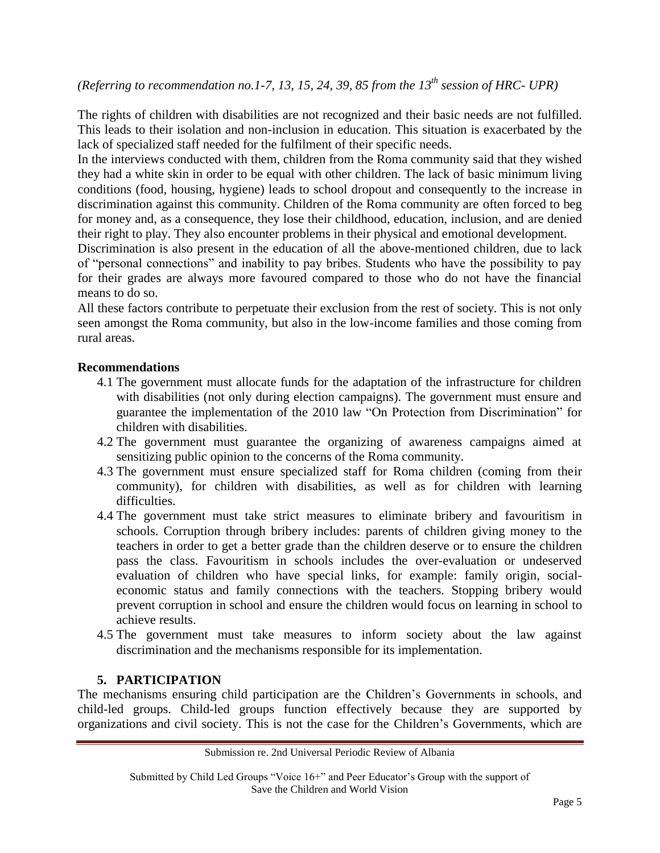*(Referring to recommendation no.1-7, 13, 15, 24, 39, 85 from the 13th session of HRC- UPR)*

The rights of children with disabilities are not recognized and their basic needs are not fulfilled. This leads to their isolation and non-inclusion in education. This situation is exacerbated by the lack of specialized staff needed for the fulfilment of their specific needs.

In the interviews conducted with them, children from the Roma community said that they wished they had a white skin in order to be equal with other children. The lack of basic minimum living conditions (food, housing, hygiene) leads to school dropout and consequently to the increase in discrimination against this community. Children of the Roma community are often forced to beg for money and, as a consequence, they lose their childhood, education, inclusion, and are denied their right to play. They also encounter problems in their physical and emotional development.

Discrimination is also present in the education of all the above-mentioned children, due to lack of "personal connections" and inability to pay bribes. Students who have the possibility to pay for their grades are always more favoured compared to those who do not have the financial means to do so.

All these factors contribute to perpetuate their exclusion from the rest of society. This is not only seen amongst the Roma community, but also in the low-income families and those coming from rural areas.

# **Recommendations**

- 4.1 The government must allocate funds for the adaptation of the infrastructure for children with disabilities (not only during election campaigns). The government must ensure and guarantee the implementation of the 2010 law "On Protection from Discrimination" for children with disabilities.
- 4.2 The government must guarantee the organizing of awareness campaigns aimed at sensitizing public opinion to the concerns of the Roma community.
- 4.3 The government must ensure specialized staff for Roma children (coming from their community), for children with disabilities, as well as for children with learning difficulties.
- 4.4 The government must take strict measures to eliminate bribery and favouritism in schools. Corruption through bribery includes: parents of children giving money to the teachers in order to get a better grade than the children deserve or to ensure the children pass the class. Favouritism in schools includes the over-evaluation or undeserved evaluation of children who have special links, for example: family origin, socialeconomic status and family connections with the teachers. Stopping bribery would prevent corruption in school and ensure the children would focus on learning in school to achieve results.
- 4.5 The government must take measures to inform society about the law against discrimination and the mechanisms responsible for its implementation.

# **5. PARTICIPATION**

The mechanisms ensuring child participation are the Children's Governments in schools, and child-led groups. Child-led groups function effectively because they are supported by organizations and civil society. This is not the case for the Children's Governments, which are

Submission re. 2nd Universal Periodic Review of Albania